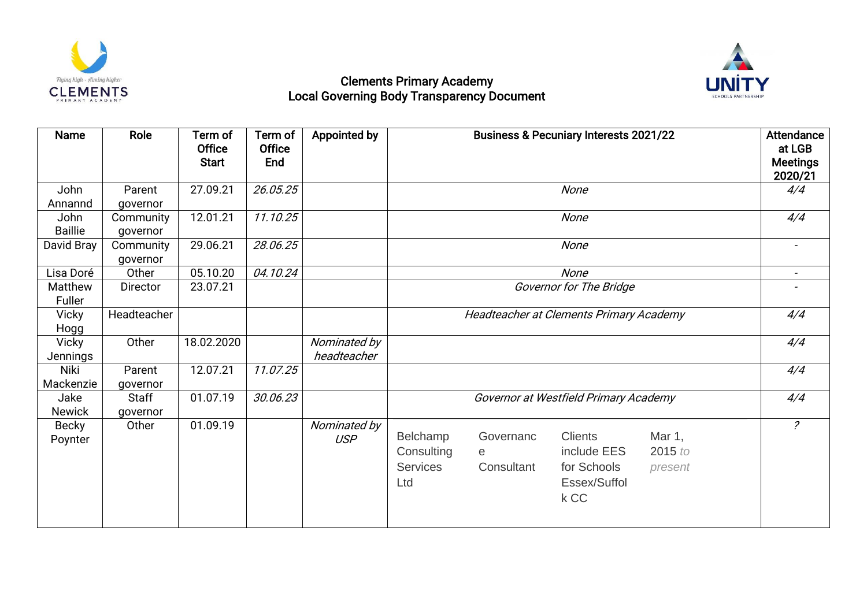

## Clements Primary Academy Local Governing Body Transparency Document



| Name                     | Role                  | Term of<br><b>Office</b><br><b>Start</b> | Term of<br><b>Office</b><br>End | Appointed by                |                                                  | <b>Attendance</b><br>at LGB<br><b>Meetings</b><br>2020/21 |                                                                      |                              |                |  |  |
|--------------------------|-----------------------|------------------------------------------|---------------------------------|-----------------------------|--------------------------------------------------|-----------------------------------------------------------|----------------------------------------------------------------------|------------------------------|----------------|--|--|
| John<br>Annannd          | Parent<br>governor    | 27.09.21                                 | 26.05.25                        |                             |                                                  |                                                           | None                                                                 |                              | 4/4            |  |  |
| John<br><b>Baillie</b>   | Community<br>governor | 12.01.21                                 | 11.10.25                        |                             |                                                  |                                                           | None                                                                 |                              | 4/4            |  |  |
| David Bray               | Community<br>governor | 29.06.21                                 | 28.06.25                        |                             |                                                  | None                                                      |                                                                      |                              |                |  |  |
| Lisa Doré                | Other                 | 05.10.20                                 | 04.10.24                        |                             |                                                  |                                                           | None<br>Governor for The Bridge                                      |                              |                |  |  |
| Matthew<br>Fuller        | Director              | 23.07.21                                 |                                 |                             |                                                  |                                                           |                                                                      |                              |                |  |  |
| <b>Vicky</b><br>Hogg     | Headteacher           |                                          |                                 |                             |                                                  |                                                           | Headteacher at Clements Primary Academy                              |                              | 4/4            |  |  |
| <b>Vicky</b><br>Jennings | Other                 | 18.02.2020                               |                                 | Nominated by<br>headteacher |                                                  |                                                           |                                                                      |                              | 4/4            |  |  |
| <b>Niki</b><br>Mackenzie | Parent<br>governor    | 12.07.21                                 | 11.07.25                        |                             |                                                  |                                                           |                                                                      |                              | 4/4            |  |  |
| Jake<br><b>Newick</b>    | Staff<br>governor     | 01.07.19                                 | 30.06.23                        |                             |                                                  |                                                           | Governor at Westfield Primary Academy                                |                              | 4/4            |  |  |
| <b>Becky</b><br>Poynter  | Other                 | 01.09.19                                 |                                 | Nominated by<br><b>USP</b>  | Belchamp<br>Consulting<br><b>Services</b><br>Ltd | Governanc<br>e<br>Consultant                              | <b>Clients</b><br>include EES<br>for Schools<br>Essex/Suffol<br>k CC | Mar 1,<br>2015 to<br>present | $\overline{?}$ |  |  |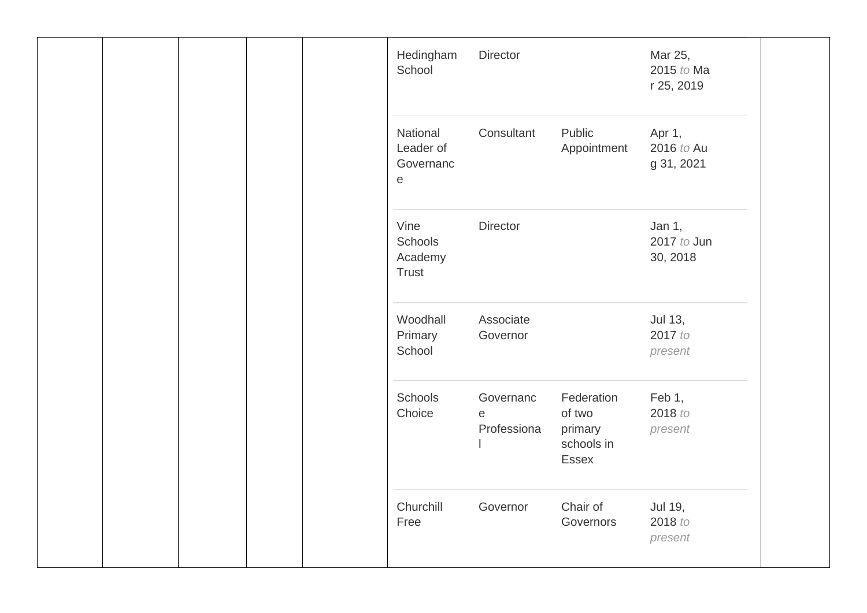|  |  | Hedingham<br>School                                                    | <b>Director</b>                                                        |                                                        | Mar 25,<br>2015 to Ma<br>r 25, 2019 |  |
|--|--|------------------------------------------------------------------------|------------------------------------------------------------------------|--------------------------------------------------------|-------------------------------------|--|
|  |  | National<br>Leader of<br>Governanc<br>$\mathbf{e}% _{t}\mathbf{v}_{t}$ | Consultant                                                             | Public<br>Appointment                                  | Apr 1,<br>2016 to Au<br>g 31, 2021  |  |
|  |  | Vine<br>Schools<br>Academy<br>Trust                                    | Director                                                               |                                                        | Jan 1,<br>2017 to Jun<br>30, 2018   |  |
|  |  | Woodhall<br>Primary<br>School                                          | Associate<br>Governor                                                  |                                                        | Jul 13,<br>2017 to<br>present       |  |
|  |  | Schools<br>Choice                                                      | Governanc<br>$\mathsf{e}% _{t}\left( \mathsf{e}\right)$<br>Professiona | Federation<br>of two<br>primary<br>schools in<br>Essex | Feb 1,<br>2018 to<br>present        |  |
|  |  | Churchill<br>Free                                                      | Governor                                                               | Chair of<br>Governors                                  | Jul 19,<br>2018 to<br>present       |  |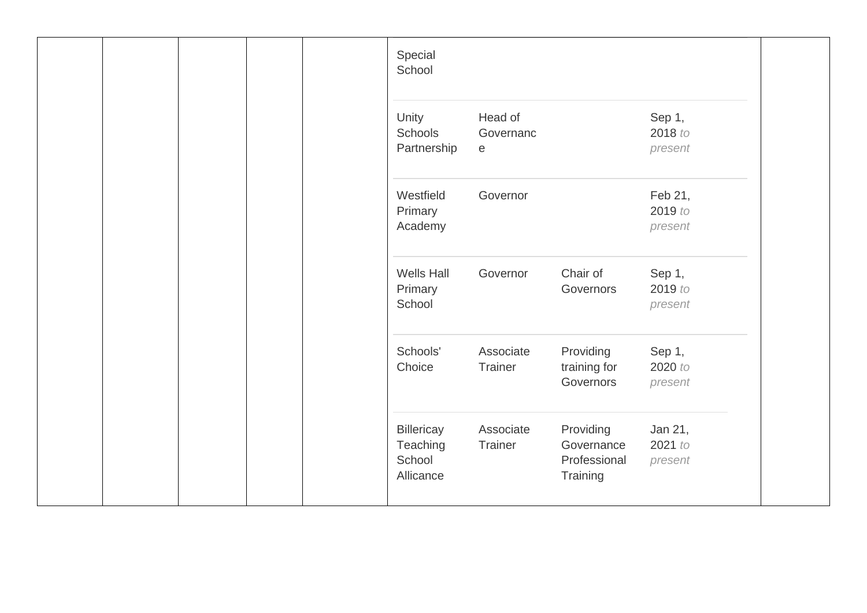|  |  | Special<br>School                             |                                                                    |                                                     |                               |  |
|--|--|-----------------------------------------------|--------------------------------------------------------------------|-----------------------------------------------------|-------------------------------|--|
|  |  | Unity<br><b>Schools</b><br>Partnership        | Head of<br>Governanc<br>$\mathsf{e}% _{0}\left( \mathsf{e}\right)$ |                                                     | Sep 1,<br>2018 to<br>present  |  |
|  |  | Westfield<br>Primary<br>Academy               | Governor                                                           |                                                     | Feb 21,<br>2019 to<br>present |  |
|  |  | <b>Wells Hall</b><br>Primary<br>School        | Governor                                                           | Chair of<br>Governors                               | Sep 1,<br>2019 to<br>present  |  |
|  |  | Schools'<br>Choice                            | Associate<br>Trainer                                               | Providing<br>training for<br>Governors              | Sep 1,<br>2020 to<br>present  |  |
|  |  | Billericay<br>Teaching<br>School<br>Allicance | Associate<br>Trainer                                               | Providing<br>Governance<br>Professional<br>Training | Jan 21,<br>2021 to<br>present |  |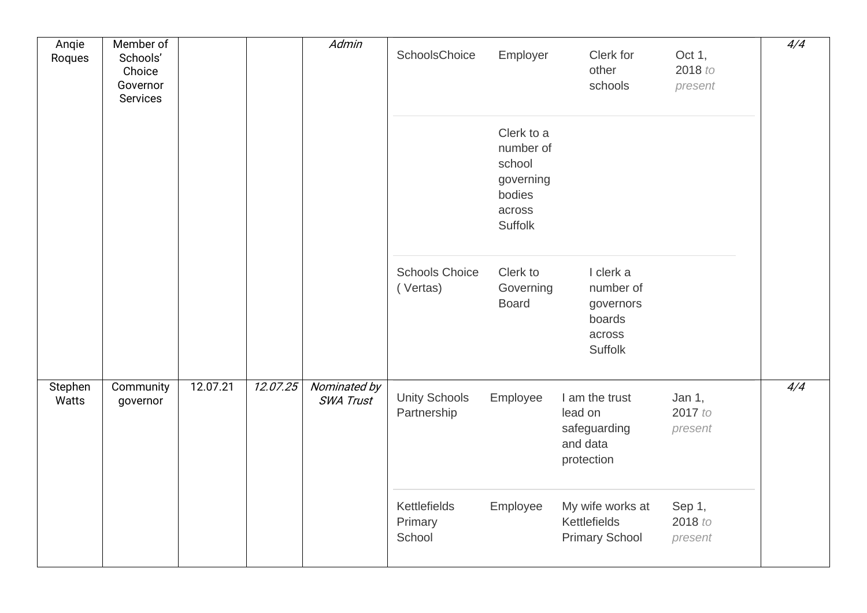| Anqie<br>Roques  | Member of<br>Schools'<br>Choice<br>Governor<br>Services |          |  | Admin    | SchoolsChoice                     | Employer                                                                      | Clerk for<br>other<br>schools                                      | Oct 1,<br>2018 to<br>present                                        | 4/4                          |     |
|------------------|---------------------------------------------------------|----------|--|----------|-----------------------------------|-------------------------------------------------------------------------------|--------------------------------------------------------------------|---------------------------------------------------------------------|------------------------------|-----|
|                  |                                                         |          |  |          |                                   | Clerk to a<br>number of<br>school<br>governing<br>bodies<br>across<br>Suffolk |                                                                    |                                                                     |                              |     |
|                  |                                                         |          |  |          | <b>Schools Choice</b><br>(Vertas) | Clerk to<br>Governing<br><b>Board</b>                                         | I clerk a<br>number of<br>governors<br>boards<br>across<br>Suffolk |                                                                     |                              |     |
| Stephen<br>Watts | Community<br>governor                                   | 12.07.21 |  | 12.07.25 | Nominated by<br><b>SWA Trust</b>  | <b>Unity Schools</b><br>Partnership                                           | Employee                                                           | I am the trust<br>lead on<br>safeguarding<br>and data<br>protection | Jan 1,<br>2017 to<br>present | 4/4 |
|                  |                                                         |          |  |          | Kettlefields<br>Primary<br>School | Employee                                                                      | My wife works at<br>Kettlefields<br><b>Primary School</b>          | Sep 1,<br>2018 to<br>present                                        |                              |     |